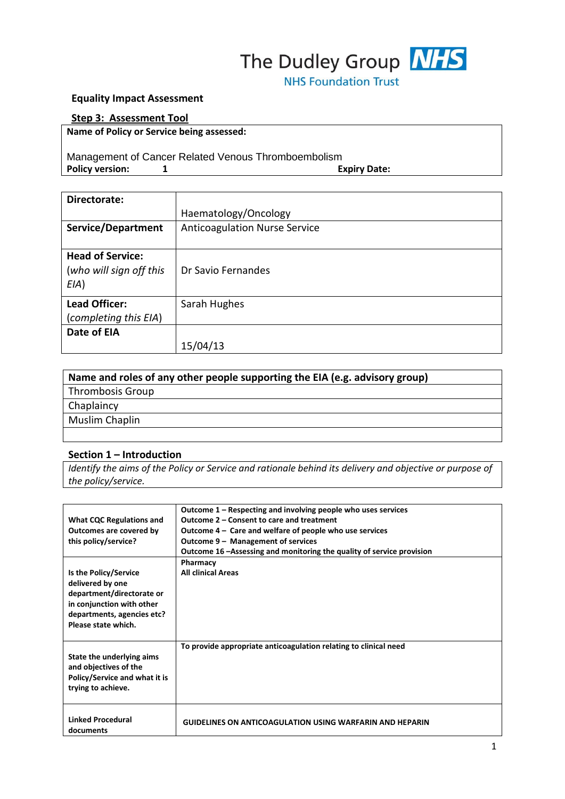# The Dudley Group **NHS**

**NHS Foundation Trust** 

#### **Equality Impact Assessment**

#### **Step 3: Assessment Tool**

**Name of Policy or Service being assessed:**

# Management of Cancer Related Venous Thromboembolism Policy version: 1 and 1 and 1 and 1 and 1 and 1 and 1 and 1 and 1 and 1 and 1 and 1 and 1 and 1 and 1 and 1 and 1 and 1 and 1 and 1 and 1 and 1 and 1 and 1 and 1 and 1 and 1 and 1 and 1 and 1 and 1 and 1 and 1 and 1 and 1

| Directorate:                                               |                                      |  |
|------------------------------------------------------------|--------------------------------------|--|
|                                                            | Haematology/Oncology                 |  |
| Service/Department                                         | <b>Anticoagulation Nurse Service</b> |  |
|                                                            |                                      |  |
| <b>Head of Service:</b><br>(who will sign off this<br>E(A) | Dr Savio Fernandes                   |  |
| <b>Lead Officer:</b><br>(completing this EIA)              | Sarah Hughes                         |  |
| Date of EIA                                                |                                      |  |
|                                                            | 15/04/13                             |  |

| Name and roles of any other people supporting the EIA (e.g. advisory group) |  |  |
|-----------------------------------------------------------------------------|--|--|
| Thrombosis Group                                                            |  |  |
| Chaplaincy                                                                  |  |  |
| Muslim Chaplin                                                              |  |  |
|                                                                             |  |  |

#### **Section 1 – Introduction**

*Identify the aims of the Policy or Service and rationale behind its delivery and objective or purpose of the policy/service.*

|                                 | Outcome 1 – Respecting and involving people who uses services          |
|---------------------------------|------------------------------------------------------------------------|
| <b>What CQC Regulations and</b> | Outcome 2 – Consent to care and treatment                              |
| Outcomes are covered by         | Outcome 4 – Care and welfare of people who use services                |
| this policy/service?            | Outcome 9 - Management of services                                     |
|                                 | Outcome 16 – Assessing and monitoring the quality of service provision |
|                                 | Pharmacy                                                               |
| Is the Policy/Service           | <b>All clinical Areas</b>                                              |
| delivered by one                |                                                                        |
| department/directorate or       |                                                                        |
| in conjunction with other       |                                                                        |
| departments, agencies etc?      |                                                                        |
| Please state which.             |                                                                        |
|                                 |                                                                        |
|                                 | To provide appropriate anticoagulation relating to clinical need       |
| State the underlying aims       |                                                                        |
| and objectives of the           |                                                                        |
| Policy/Service and what it is   |                                                                        |
| trying to achieve.              |                                                                        |
|                                 |                                                                        |
|                                 |                                                                        |
| <b>Linked Procedural</b>        | <b>GUIDELINES ON ANTICOAGULATION USING WARFARIN AND HEPARIN</b>        |
| documents                       |                                                                        |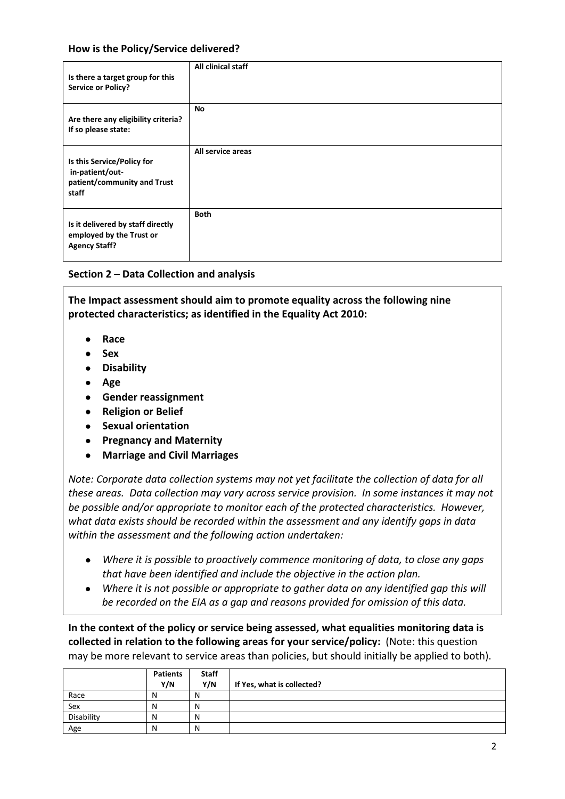#### **How is the Policy/Service delivered?**

| Is there a target group for this<br><b>Service or Policy?</b>                         | All clinical staff |
|---------------------------------------------------------------------------------------|--------------------|
| Are there any eligibility criteria?<br>If so please state:                            | No                 |
| Is this Service/Policy for<br>in-patient/out-<br>patient/community and Trust<br>staff | All service areas  |
| Is it delivered by staff directly<br>employed by the Trust or<br><b>Agency Staff?</b> | <b>Both</b>        |

#### **Section 2 – Data Collection and analysis**

**The Impact assessment should aim to promote equality across the following nine protected characteristics; as identified in the Equality Act 2010:**

- **Race**  $\bullet$
- **Sex**  $\bullet$
- **Disability**
- **Age**
- **Gender reassignment**
- **Religion or Belief**
- **Sexual orientation**
- **Pregnancy and Maternity**
- **Marriage and Civil Marriages**  $\bullet$

*Note: Corporate data collection systems may not yet facilitate the collection of data for all these areas. Data collection may vary across service provision. In some instances it may not be possible and/or appropriate to monitor each of the protected characteristics. However, what data exists should be recorded within the assessment and any identify gaps in data within the assessment and the following action undertaken:*

- *Where it is possible to proactively commence monitoring of data, to close any gaps that have been identified and include the objective in the action plan.*
- *Where it is not possible or appropriate to gather data on any identified gap this will*   $\bullet$ *be recorded on the EIA as a gap and reasons provided for omission of this data.*

**In the context of the policy or service being assessed, what equalities monitoring data is collected in relation to the following areas for your service/policy:** (Note: this question may be more relevant to service areas than policies, but should initially be applied to both).

|            | <b>Patients</b> | <b>Staff</b> |                            |
|------------|-----------------|--------------|----------------------------|
|            | Y/N             | Y/N          | If Yes, what is collected? |
| Race       | N               | N            |                            |
| Sex        | N               | N            |                            |
| Disability | N               | N            |                            |
| Age        | N               | N            |                            |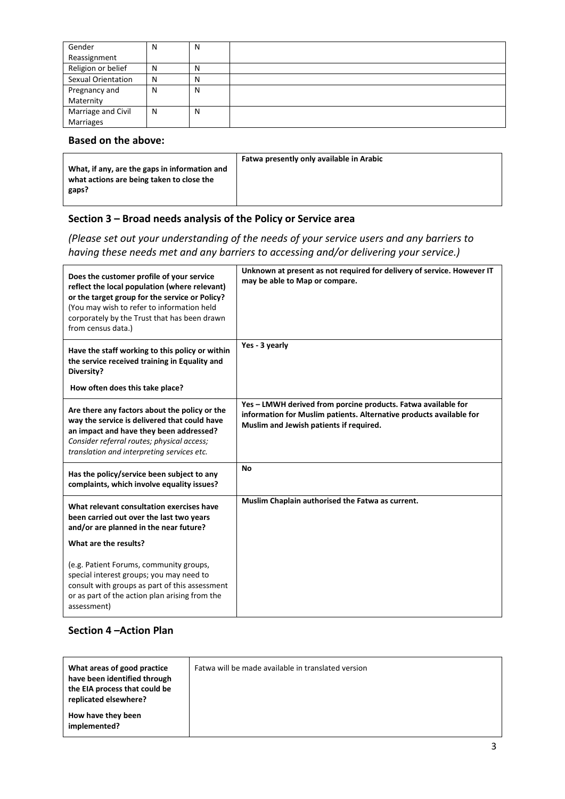| Gender             | N | N |  |
|--------------------|---|---|--|
| Reassignment       |   |   |  |
| Religion or belief | N | N |  |
| Sexual Orientation | N | N |  |
| Pregnancy and      | N | N |  |
| Maternity          |   |   |  |
| Marriage and Civil | N | N |  |
| Marriages          |   |   |  |

### **Based on the above:**

| What, if any, are the gaps in information and<br>what actions are being taken to close the<br>gaps? | Fatwa presently only available in Arabic |
|-----------------------------------------------------------------------------------------------------|------------------------------------------|
|                                                                                                     |                                          |

# **Section 3 – Broad needs analysis of the Policy or Service area**

*(Please set out your understanding of the needs of your service users and any barriers to having these needs met and any barriers to accessing and/or delivering your service.)*

| Does the customer profile of your service<br>reflect the local population (where relevant)<br>or the target group for the service or Policy?<br>(You may wish to refer to information held<br>corporately by the Trust that has been drawn<br>from census data.) | Unknown at present as not required for delivery of service. However IT<br>may be able to Map or compare.                                                                        |
|------------------------------------------------------------------------------------------------------------------------------------------------------------------------------------------------------------------------------------------------------------------|---------------------------------------------------------------------------------------------------------------------------------------------------------------------------------|
| Have the staff working to this policy or within<br>the service received training in Equality and<br>Diversity?                                                                                                                                                   | Yes - 3 yearly                                                                                                                                                                  |
| How often does this take place?                                                                                                                                                                                                                                  |                                                                                                                                                                                 |
| Are there any factors about the policy or the<br>way the service is delivered that could have<br>an impact and have they been addressed?<br>Consider referral routes; physical access;<br>translation and interpreting services etc.                             | Yes - LMWH derived from porcine products. Fatwa available for<br>information for Muslim patients. Alternative products available for<br>Muslim and Jewish patients if required. |
| Has the policy/service been subject to any<br>complaints, which involve equality issues?                                                                                                                                                                         | <b>No</b>                                                                                                                                                                       |
| What relevant consultation exercises have<br>been carried out over the last two years<br>and/or are planned in the near future?<br>What are the results?                                                                                                         | Muslim Chaplain authorised the Fatwa as current.                                                                                                                                |
| (e.g. Patient Forums, community groups,<br>special interest groups; you may need to<br>consult with groups as part of this assessment<br>or as part of the action plan arising from the<br>assessment)                                                           |                                                                                                                                                                                 |

# **Section 4 –Action Plan**

| What areas of good practice<br>have been identified through<br>the EIA process that could be<br>replicated elsewhere? | Fatwa will be made available in translated version |
|-----------------------------------------------------------------------------------------------------------------------|----------------------------------------------------|
| How have they been<br>implemented?                                                                                    |                                                    |